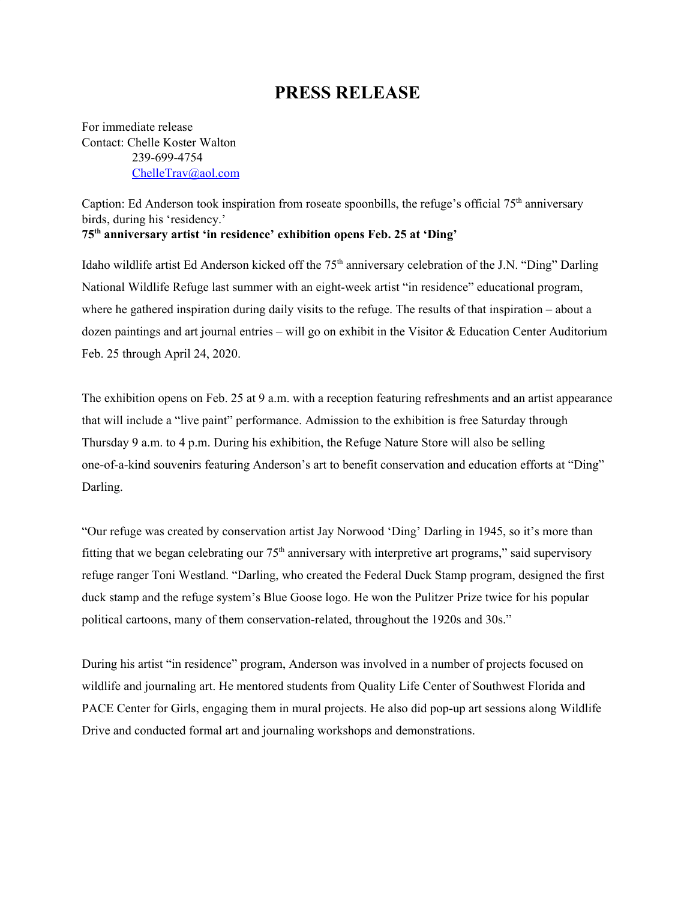## **PRESS RELEASE**

For immediate release Contact: Chelle Koster Walton 239-699-4754 [ChelleTrav@aol.com](mailto:ChelleTrav@aol.com)

Caption: Ed Anderson took inspiration from roseate spoonbills, the refuge's official 75<sup>th</sup> anniversary birds, during his 'residency.' **75 th anniversary artist 'in residence' exhibition opens Feb. 25 at 'Ding'**

Idaho wildlife artist Ed Anderson kicked off the 75<sup>th</sup> anniversary celebration of the J.N. "Ding" Darling National Wildlife Refuge last summer with an eight-week artist "in residence" educational program, where he gathered inspiration during daily visits to the refuge. The results of that inspiration – about a dozen paintings and art journal entries – will go on exhibit in the Visitor & Education Center Auditorium Feb. 25 through April 24, 2020.

The exhibition opens on Feb. 25 at 9 a.m. with a reception featuring refreshments and an artist appearance that will include a "live paint" performance. Admission to the exhibition is free Saturday through Thursday 9 a.m. to 4 p.m. During his exhibition, the Refuge Nature Store will also be selling one-of-a-kind souvenirs featuring Anderson's art to benefit conservation and education efforts at "Ding" Darling.

"Our refuge was created by conservation artist Jay Norwood 'Ding' Darling in 1945, so it's more than fitting that we began celebrating our  $75<sup>th</sup>$  anniversary with interpretive art programs," said supervisory refuge ranger Toni Westland. "Darling, who created the Federal Duck Stamp program, designed the first duck stamp and the refuge system's Blue Goose logo. He won the Pulitzer Prize twice for his popular political cartoons, many of them conservation-related, throughout the 1920s and 30s."

During his artist "in residence" program, Anderson was involved in a number of projects focused on wildlife and journaling art. He mentored students from Quality Life Center of Southwest Florida and PACE Center for Girls, engaging them in mural projects. He also did pop-up art sessions along Wildlife Drive and conducted formal art and journaling workshops and demonstrations.